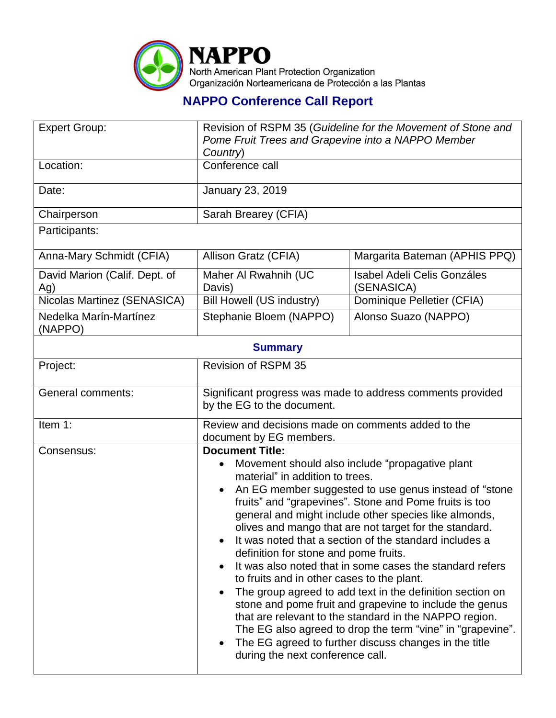

## **NAPPO Conference Call Report**

| <b>Expert Group:</b>                 | Revision of RSPM 35 (Guideline for the Movement of Stone and<br>Pome Fruit Trees and Grapevine into a NAPPO Member<br>Country)                                                                                                                                                                                                                                                                                                                                                                                                                                                                                                                                                                                                                                                                                                                                                                                              |                                                  |  |  |
|--------------------------------------|-----------------------------------------------------------------------------------------------------------------------------------------------------------------------------------------------------------------------------------------------------------------------------------------------------------------------------------------------------------------------------------------------------------------------------------------------------------------------------------------------------------------------------------------------------------------------------------------------------------------------------------------------------------------------------------------------------------------------------------------------------------------------------------------------------------------------------------------------------------------------------------------------------------------------------|--------------------------------------------------|--|--|
| Location:                            | Conference call                                                                                                                                                                                                                                                                                                                                                                                                                                                                                                                                                                                                                                                                                                                                                                                                                                                                                                             |                                                  |  |  |
| Date:                                | January 23, 2019                                                                                                                                                                                                                                                                                                                                                                                                                                                                                                                                                                                                                                                                                                                                                                                                                                                                                                            |                                                  |  |  |
| Chairperson                          | Sarah Brearey (CFIA)                                                                                                                                                                                                                                                                                                                                                                                                                                                                                                                                                                                                                                                                                                                                                                                                                                                                                                        |                                                  |  |  |
| Participants:                        |                                                                                                                                                                                                                                                                                                                                                                                                                                                                                                                                                                                                                                                                                                                                                                                                                                                                                                                             |                                                  |  |  |
| Anna-Mary Schmidt (CFIA)             | Allison Gratz (CFIA)                                                                                                                                                                                                                                                                                                                                                                                                                                                                                                                                                                                                                                                                                                                                                                                                                                                                                                        | Margarita Bateman (APHIS PPQ)                    |  |  |
| David Marion (Calif. Dept. of<br>Ag) | Maher Al Rwahnih (UC<br>Davis)                                                                                                                                                                                                                                                                                                                                                                                                                                                                                                                                                                                                                                                                                                                                                                                                                                                                                              | <b>Isabel Adeli Celis Gonzáles</b><br>(SENASICA) |  |  |
| Nicolas Martinez (SENASICA)          | <b>Bill Howell (US industry)</b>                                                                                                                                                                                                                                                                                                                                                                                                                                                                                                                                                                                                                                                                                                                                                                                                                                                                                            | Dominique Pelletier (CFIA)                       |  |  |
| Nedelka Marín-Martínez<br>(NAPPO)    | Stephanie Bloem (NAPPO)                                                                                                                                                                                                                                                                                                                                                                                                                                                                                                                                                                                                                                                                                                                                                                                                                                                                                                     | Alonso Suazo (NAPPO)                             |  |  |
| <b>Summary</b>                       |                                                                                                                                                                                                                                                                                                                                                                                                                                                                                                                                                                                                                                                                                                                                                                                                                                                                                                                             |                                                  |  |  |
| Project:                             | <b>Revision of RSPM 35</b>                                                                                                                                                                                                                                                                                                                                                                                                                                                                                                                                                                                                                                                                                                                                                                                                                                                                                                  |                                                  |  |  |
| <b>General comments:</b>             | Significant progress was made to address comments provided<br>by the EG to the document.                                                                                                                                                                                                                                                                                                                                                                                                                                                                                                                                                                                                                                                                                                                                                                                                                                    |                                                  |  |  |
| Item 1:                              | Review and decisions made on comments added to the<br>document by EG members.                                                                                                                                                                                                                                                                                                                                                                                                                                                                                                                                                                                                                                                                                                                                                                                                                                               |                                                  |  |  |
| Consensus:                           | <b>Document Title:</b><br>Movement should also include "propagative plant"<br>material" in addition to trees.<br>An EG member suggested to use genus instead of "stone"<br>fruits" and "grapevines". Stone and Pome fruits is too<br>general and might include other species like almonds,<br>olives and mango that are not target for the standard.<br>It was noted that a section of the standard includes a<br>definition for stone and pome fruits.<br>It was also noted that in some cases the standard refers<br>to fruits and in other cases to the plant.<br>The group agreed to add text in the definition section on<br>stone and pome fruit and grapevine to include the genus<br>that are relevant to the standard in the NAPPO region.<br>The EG also agreed to drop the term "vine" in "grapevine".<br>The EG agreed to further discuss changes in the title<br>$\bullet$<br>during the next conference call. |                                                  |  |  |